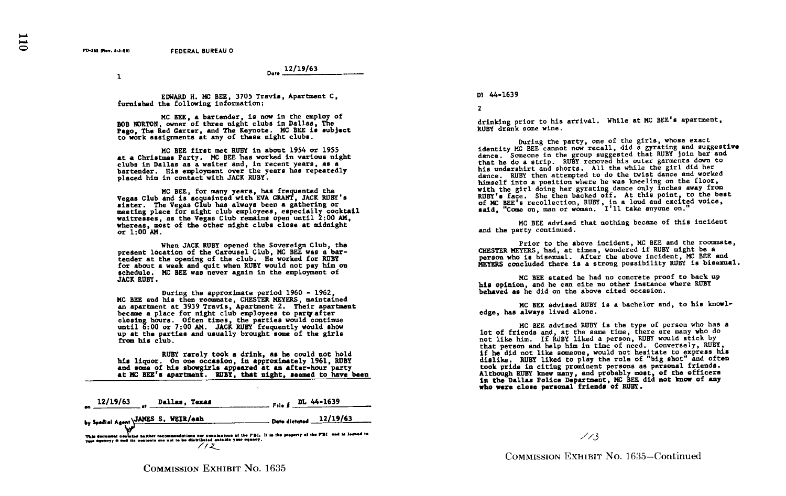Date <u>12/19/63</u>

 $\mathbf{I}$ 

EDWARD H. MC BEE, 3705 Travis, Apartment C, furnished the following information:

MC BEE, a bartender, is now in the employ of BOB HORTON, owner of three night clubs in Dallas, The Pago. The Red Garter, and The Keynote. MC BEE is subject to work assignments at any of these night clubs.

MC BEE first met RUBY in about 1954 or 1955 at a Christmas Party . MC BEE has worked in various night clubs in Dallas as a waiter and, in recent years, as a bartender. His employment over the years has repeatedly placed him in contact with JACK RUBY .

MC BEE, for many years, has frequented the<br>Vegas Club and is acquainted with EVA GRANT, JACK RUBY's sister. The Vegas Club has always been a gathering or meeting place for night club employees, especially cocktail waitresses, as the Vegas Club remains open until 2 :00 AM, whereas, most of the other night clubs close at midnight or 1 :00 AM .

When JACK RUBY opened the Sovereign Club, the present location of the Carousel Club, MC BEE was a bartender at the opening of the club. He worked for RUBY for about a week and quit when RUBY would not pay him on schedule. MC BEE was never again in the employment of JACK RUBY .

During the approximate period 1960 - 1962, MC BEE and his then roommate, CHESTER MEYERS, maintained an apartment at 3939 Travis, Apartment 2. Their apartment became a place for night club employees to party after<br>closing hours. Often times, the parties would continue closing hours. Often times, the parties would continue<br>until 6:00 or 7:00 AM. JACK RUBY frequently would show<br>until 6:00 ordina and usually bygucht area of the city up at the parties and usually brought some of the girls from his club .

RUBY rarely took a drink, as he could not hold his liquor. On one occasion, in approximately 1961, RUBY and some of his ebowgirls appeared at an after-hour party at MC BEE's apartment. RUBY, that night, seemed to have been

| $File f$ DL 44-1639                                                                                                      |
|--------------------------------------------------------------------------------------------------------------------------|
| Date dictated 12/19/63                                                                                                   |
| This dominant contains nother recommendations not conclusions of the FBI. It is the property of the FBI and in leaned to |
|                                                                                                                          |

## DI 44-1639

2

drinking prior to his arrival. While at MC BEE's apartment, RUBY drank some wine

During the party, one of the girls, whose exact<br>identity MC BEE cannot now recall, did a gyrating and suggestive identity MC BEE cannot now recall, did a gyrating and suggestive<br>dance. Someone in the group suggested that RUBY join her and<br>in the group suggestive of the group of the garments down to that he do a strip. RUBY removed his outer garments down to his undershirt and shorts. All the while the girl did her dance. RUBY then attempted to do the twist dance and worked himself into a position where he was kneeling on the floor, himself into a position where he was kneeling on the floor,<br>with the girl doing her gyrating dance only inches away from<br>RUBY's face . She then backed off . At this point, to the best<br>number of the attention of the backed of MC BEE's recollection, RUBY, in <sup>a</sup> loud and excited voice, said, "Come on, man or woman . I'll take anyone on ."

MC BEE advised that nothing became of this incident and the party continued .

Prior to the above incident, MC BEE and the roommate, CHESTER MEYERS, had, at times, wondered if RUBY might be <sup>a</sup> person who is bisexual. After the above incident, MC BEE and MEYERS concluded there is a strong possibility RUBY is bisexual .

MC BEE stated be had no concrete proof to back up his opinion, and he can cite no other instance where RUBY behaved as he did on the above cited occasion .

MC BEE advised RUBY is a bachelor and, to his knowledge, has always lived alone .

MC BEE advised RUBY is the type of person who has a lot of friends and, at the same time, there are many who do not like him . If RUBY liked a person, RUBY would stick by that person and help him in time of need. Conversely, RUBY. if he did not like someone, would not hesitate to express his dislike. RUBY liked to play the role of "big shot" and often took pride in citing prominent persons as personal friends . Although RUBY knew many, and probably most, of the officers<br>in the Dallas Police Department, MC BEE did not know of any<br>who were alsee personal friends of PUBY who were close personal friends of RUBY .

 $\angle$  / 3

COMMISSION EXHIBIT No. 1635-Continued